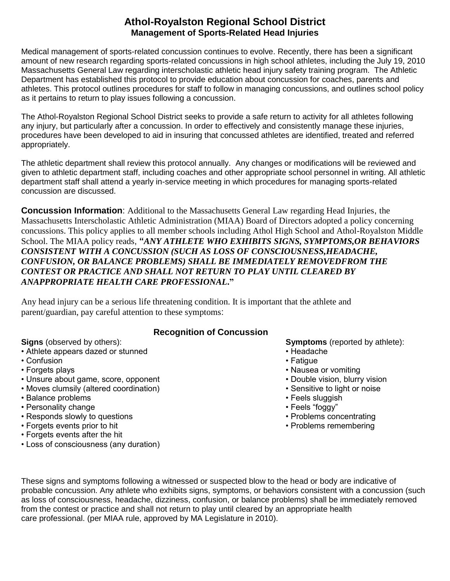Medical management of sports-related concussion continues to evolve. Recently, there has been a significant amount of new research regarding sports-related concussions in high school athletes, including the July 19, 2010 Massachusetts General Law regarding interscholastic athletic head injury safety training program. The Athletic Department has established this protocol to provide education about concussion for coaches, parents and athletes. This protocol outlines procedures for staff to follow in managing concussions, and outlines school policy as it pertains to return to play issues following a concussion.

The Athol-Royalston Regional School District seeks to provide a safe return to activity for all athletes following any injury, but particularly after a concussion. In order to effectively and consistently manage these injuries, procedures have been developed to aid in insuring that concussed athletes are identified, treated and referred appropriately.

The athletic department shall review this protocol annually. Any changes or modifications will be reviewed and given to athletic department staff, including coaches and other appropriate school personnel in writing. All athletic department staff shall attend a yearly in-service meeting in which procedures for managing sports-related concussion are discussed.

**Concussion Information**: Additional to the Massachusetts General Law regarding Head Injuries, the Massachusetts Interscholastic Athletic Administration (MIAA) Board of Directors adopted a policy concerning concussions. This policy applies to all member schools including Athol High School and Athol-Royalston Middle School. The MIAA policy reads, **"***ANY ATHLETE WHO EXHIBITS SIGNS, SYMPTOMS,OR BEHAVIORS CONSISTENT WITH A CONCUSSION (SUCH AS LOSS OF CONSCIOUSNESS,HEADACHE, CONFUSION, OR BALANCE PROBLEMS) SHALL BE IMMEDIATELY REMOVEDFROM THE CONTEST OR PRACTICE AND SHALL NOT RETURN TO PLAY UNTIL CLEARED BY ANAPPROPRIATE HEALTH CARE PROFESSIONAL***."**

Any head injury can be a serious life threatening condition. It is important that the athlete and parent/guardian, pay careful attention to these symptoms:

#### **Recognition of Concussion**

- Athlete appears dazed or stunned Headache Headache
- Confusion Fatigue Fatigue Fatigue Fatigue Fatigue Fatigue Fatigue Fatigue Fatigue Fatigue Fatigue Fatigue Fatigue Fatigue Fatigue Fatigue Fatigue Fatigue Fatigue Fatigue Fatigue
- 
- Unsure about game, score, opponent **•** Double vision, blurry vision
- Moves clumsily (altered coordination) Sensitive to light or noise
- Balance problems **Feels sluggish** Feels sluggish
- Personality change  **Formulation Feels "foggy"** Feels "foggy"
- Responds slowly to questions **Problems** concentrating Problems concentrating
- Forgets events prior to hit Problems remembering
- Forgets events after the hit
- Loss of consciousness (any duration)

**Signs** (observed by others): **Symptoms** (reported by athlete):

- 
- 
- Forgets plays Nausea or vomiting Nausea or vomiting Nausea or vomiting Nausea or vomiting Nausea or vomiting Nausea or vomiting Nausea or vomiting Nausea or vomiting Nausea or vomiting Nausea or vomit
	-
	-
	-
	-
	-
	-

These signs and symptoms following a witnessed or suspected blow to the head or body are indicative of probable concussion. Any athlete who exhibits signs, symptoms, or behaviors consistent with a concussion (such as loss of consciousness, headache, dizziness, confusion, or balance problems) shall be immediately removed from the contest or practice and shall not return to play until cleared by an appropriate health care professional. (per MIAA rule, approved by MA Legislature in 2010).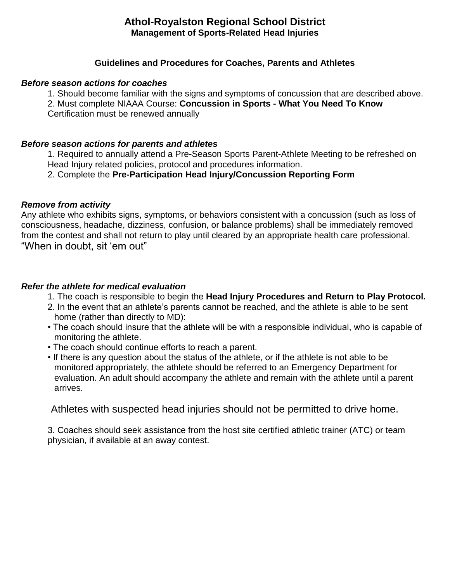#### **Guidelines and Procedures for Coaches, Parents and Athletes**

#### *Before season actions for coaches*

1. Should become familiar with the signs and symptoms of concussion that are described above.

2. Must complete NIAAA Course: **Concussion in Sports - What You Need To Know** 

Certification must be renewed annually

#### *Before season actions for parents and athletes*

1. Required to annually attend a Pre-Season Sports Parent-Athlete Meeting to be refreshed on Head Injury related policies, protocol and procedures information.

2. Complete the **Pre-Participation Head Injury/Concussion Reporting Form**

#### *Remove from activity*

Any athlete who exhibits signs, symptoms, or behaviors consistent with a concussion (such as loss of consciousness, headache, dizziness, confusion, or balance problems) shall be immediately removed from the contest and shall not return to play until cleared by an appropriate health care professional. "When in doubt, sit 'em out"

#### *Refer the athlete for medical evaluation*

- 1. The coach is responsible to begin the **Head Injury Procedures and Return to Play Protocol.**
- 2. In the event that an athlete's parents cannot be reached, and the athlete is able to be sent home (rather than directly to MD):
- The coach should insure that the athlete will be with a responsible individual, who is capable of monitoring the athlete.
- The coach should continue efforts to reach a parent.
- If there is any question about the status of the athlete, or if the athlete is not able to be monitored appropriately, the athlete should be referred to an Emergency Department for evaluation. An adult should accompany the athlete and remain with the athlete until a parent arrives.

Athletes with suspected head injuries should not be permitted to drive home.

3. Coaches should seek assistance from the host site certified athletic trainer (ATC) or team physician, if available at an away contest.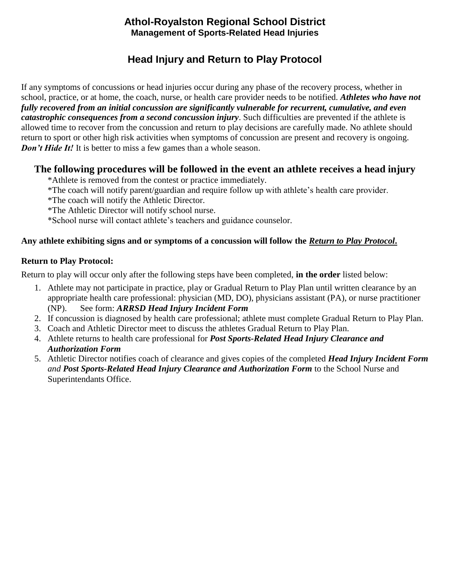# **Head Injury and Return to Play Protocol**

If any symptoms of concussions or head injuries occur during any phase of the recovery process, whether in school, practice, or at home, the coach, nurse, or health care provider needs to be notified. *Athletes who have not fully recovered from an initial concussion are significantly vulnerable for recurrent, cumulative, and even catastrophic consequences from a second concussion injury*. Such difficulties are prevented if the athlete is allowed time to recover from the concussion and return to play decisions are carefully made. No athlete should return to sport or other high risk activities when symptoms of concussion are present and recovery is ongoing. *Don't Hide It!* It is better to miss a few games than a whole season.

# **The following procedures will be followed in the event an athlete receives a head injury**

\*Athlete is removed from the contest or practice immediately.

- \*The coach will notify parent/guardian and require follow up with athlete's health care provider.
- \*The coach will notify the Athletic Director.
- \*The Athletic Director will notify school nurse.

\*School nurse will contact athlete's teachers and guidance counselor.

# **Any athlete exhibiting signs and or symptoms of a concussion will follow the** *Return to Play Protocol***.**

#### **Return to Play Protocol:**

Return to play will occur only after the following steps have been completed, **in the order** listed below:

- 1. Athlete may not participate in practice, play or Gradual Return to Play Plan until written clearance by an appropriate health care professional: physician (MD, DO), physicians assistant (PA), or nurse practitioner (NP). See form: *ARRSD Head Injury Incident Form*
- 2. If concussion is diagnosed by health care professional; athlete must complete Gradual Return to Play Plan.
- 3. Coach and Athletic Director meet to discuss the athletes Gradual Return to Play Plan.
- 4. Athlete returns to health care professional for *Post Sports-Related Head Injury Clearance and Authorization Form*
- 5. Athletic Director notifies coach of clearance and gives copies of the completed *Head Injury Incident Form and Post Sports-Related Head Injury Clearance and Authorization Form* to the School Nurse and Superintendants Office.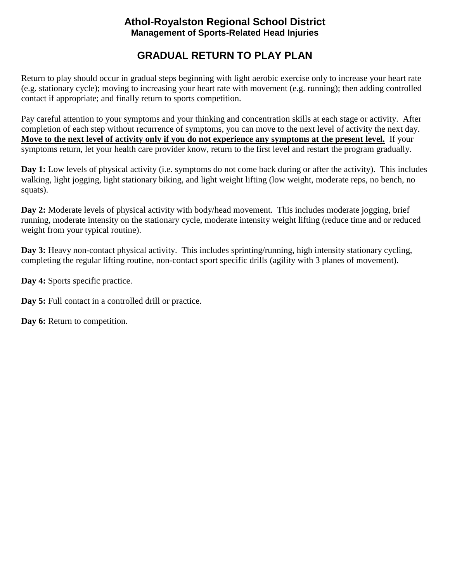# **GRADUAL RETURN TO PLAY PLAN**

Return to play should occur in gradual steps beginning with light aerobic exercise only to increase your heart rate (e.g. stationary cycle); moving to increasing your heart rate with movement (e.g. running); then adding controlled contact if appropriate; and finally return to sports competition.

Pay careful attention to your symptoms and your thinking and concentration skills at each stage or activity. After completion of each step without recurrence of symptoms, you can move to the next level of activity the next day. **Move to the next level of activity only if you do not experience any symptoms at the present level.** If your symptoms return, let your health care provider know, return to the first level and restart the program gradually.

**Day 1:** Low levels of physical activity (i.e. symptoms do not come back during or after the activity). This includes walking, light jogging, light stationary biking, and light weight lifting (low weight, moderate reps, no bench, no squats).

**Day 2:** Moderate levels of physical activity with body/head movement. This includes moderate jogging, brief running, moderate intensity on the stationary cycle, moderate intensity weight lifting (reduce time and or reduced weight from your typical routine).

**Day 3:** Heavy non-contact physical activity. This includes sprinting/running, high intensity stationary cycling, completing the regular lifting routine, non-contact sport specific drills (agility with 3 planes of movement).

**Day 4:** Sports specific practice.

**Day 5:** Full contact in a controlled drill or practice.

**Day 6:** Return to competition.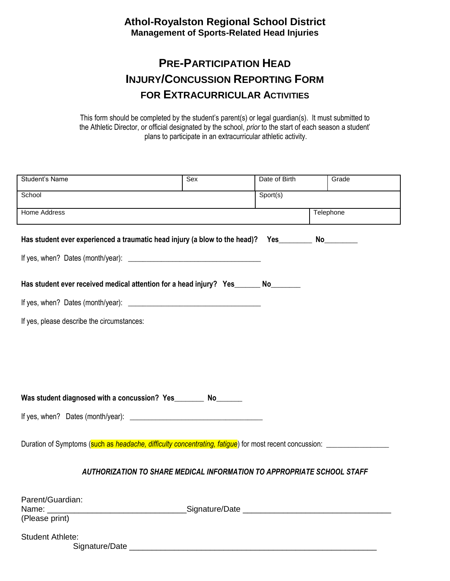# **PRE-PARTICIPATION HEAD INJURY/CONCUSSION REPORTING FORM FOR EXTRACURRICULAR ACTIVITIES**

This form should be completed by the student's parent(s) or legal guardian(s). It must submitted to the Athletic Director, or official designated by the school, *prior* to the start of each season a student' plans to participate in an extracurricular athletic activity.

| Student's Name                                                                                                 | Sex | Date of Birth | Grade       |  |  |  |  |
|----------------------------------------------------------------------------------------------------------------|-----|---------------|-------------|--|--|--|--|
| School                                                                                                         |     | Sport(s)      |             |  |  |  |  |
| <b>Home Address</b>                                                                                            |     | Telephone     |             |  |  |  |  |
| Has student ever experienced a traumatic head injury (a blow to the head)? Yes                                 |     |               | No_________ |  |  |  |  |
| Has student ever received medical attention for a head injury? Yes_______ No_______                            |     |               |             |  |  |  |  |
|                                                                                                                |     |               |             |  |  |  |  |
| If yes, please describe the circumstances:                                                                     |     |               |             |  |  |  |  |
|                                                                                                                |     |               |             |  |  |  |  |
|                                                                                                                |     |               |             |  |  |  |  |
|                                                                                                                |     |               |             |  |  |  |  |
| Was student diagnosed with a concussion? Yes__________ No________                                              |     |               |             |  |  |  |  |
|                                                                                                                |     |               |             |  |  |  |  |
|                                                                                                                |     |               |             |  |  |  |  |
| Duration of Symptoms (such as <i>headache, difficulty concentrating, fatigue</i> ) for most recent concussion: |     |               |             |  |  |  |  |
| AUTHORIZATION TO SHARE MEDICAL INFORMATION TO APPROPRIATE SCHOOL STAFF                                         |     |               |             |  |  |  |  |
| Parent/Guardian:<br>(Please print)                                                                             |     |               |             |  |  |  |  |
| <b>Student Athlete:</b>                                                                                        |     |               |             |  |  |  |  |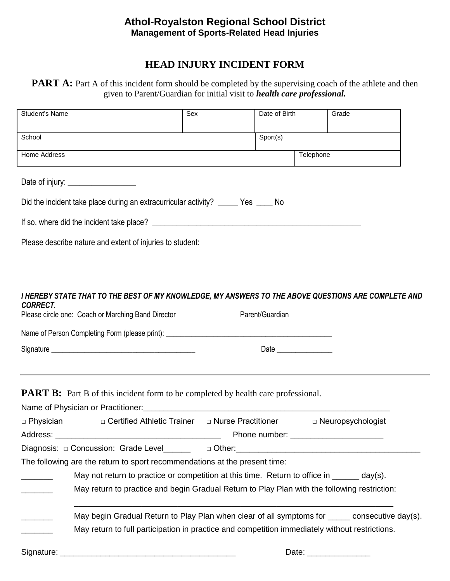# **HEAD INJURY INCIDENT FORM**

#### **PART A:** Part A of this incident form should be completed by the supervising coach of the athlete and then given to Parent/Guardian for initial visit to *health care professional.*

| Student's Name                                                                      |                                                                                                                                                                                                                                | Sex | Date of Birth   | Grade                                                                                          |  |  |  |  |  |
|-------------------------------------------------------------------------------------|--------------------------------------------------------------------------------------------------------------------------------------------------------------------------------------------------------------------------------|-----|-----------------|------------------------------------------------------------------------------------------------|--|--|--|--|--|
|                                                                                     |                                                                                                                                                                                                                                |     |                 |                                                                                                |  |  |  |  |  |
| School                                                                              |                                                                                                                                                                                                                                |     | Sport(s)        |                                                                                                |  |  |  |  |  |
| Home Address                                                                        |                                                                                                                                                                                                                                |     |                 | Telephone                                                                                      |  |  |  |  |  |
|                                                                                     | Date of injury: __________________                                                                                                                                                                                             |     |                 |                                                                                                |  |  |  |  |  |
| Did the incident take place during an extracurricular activity? ______ Yes _____ No |                                                                                                                                                                                                                                |     |                 |                                                                                                |  |  |  |  |  |
|                                                                                     |                                                                                                                                                                                                                                |     |                 |                                                                                                |  |  |  |  |  |
|                                                                                     | Please describe nature and extent of injuries to student:                                                                                                                                                                      |     |                 |                                                                                                |  |  |  |  |  |
|                                                                                     |                                                                                                                                                                                                                                |     |                 |                                                                                                |  |  |  |  |  |
|                                                                                     |                                                                                                                                                                                                                                |     |                 |                                                                                                |  |  |  |  |  |
| <b>CORRECT.</b>                                                                     | I HEREBY STATE THAT TO THE BEST OF MY KNOWLEDGE, MY ANSWERS TO THE ABOVE QUESTIONS ARE COMPLETE AND                                                                                                                            |     |                 |                                                                                                |  |  |  |  |  |
|                                                                                     | Please circle one: Coach or Marching Band Director                                                                                                                                                                             |     | Parent/Guardian |                                                                                                |  |  |  |  |  |
|                                                                                     |                                                                                                                                                                                                                                |     |                 |                                                                                                |  |  |  |  |  |
|                                                                                     |                                                                                                                                                                                                                                |     |                 |                                                                                                |  |  |  |  |  |
|                                                                                     |                                                                                                                                                                                                                                |     |                 |                                                                                                |  |  |  |  |  |
|                                                                                     | <b>PART B:</b> Part B of this incident form to be completed by health care professional.                                                                                                                                       |     |                 |                                                                                                |  |  |  |  |  |
|                                                                                     |                                                                                                                                                                                                                                |     |                 |                                                                                                |  |  |  |  |  |
| $\Box$ Physician                                                                    | □ Certified Athletic Trainer □ Nurse Practitioner                                                                                                                                                                              |     |                 | $\Box$ Neuropsychologist                                                                       |  |  |  |  |  |
|                                                                                     |                                                                                                                                                                                                                                |     |                 |                                                                                                |  |  |  |  |  |
|                                                                                     | Diagnosis: 0 Concussion: Grade Level 0 0ther: 0 Other: 0 0ther: 0 0ther: 0 0ther: 0 0ther: 0 0ther: 0 0ther: 0 0ther: 0 0ther: 0 0ther: 0 0ther: 0 0ther: 0 0ther: 0 0ther: 0 0ther: 0 0ther: 0 0ther: 0 0ther: 0 0ther: 0 0th |     |                 |                                                                                                |  |  |  |  |  |
|                                                                                     | The following are the return to sport recommendations at the present time:                                                                                                                                                     |     |                 |                                                                                                |  |  |  |  |  |
|                                                                                     | May not return to practice or competition at this time. Return to office in ______ day(s).                                                                                                                                     |     |                 |                                                                                                |  |  |  |  |  |
| $\overline{\phantom{a}}$                                                            | May return to practice and begin Gradual Return to Play Plan with the following restriction:                                                                                                                                   |     |                 |                                                                                                |  |  |  |  |  |
|                                                                                     |                                                                                                                                                                                                                                |     |                 | May begin Gradual Return to Play Plan when clear of all symptoms for _____ consecutive day(s). |  |  |  |  |  |
|                                                                                     | May return to full participation in practice and competition immediately without restrictions.                                                                                                                                 |     |                 |                                                                                                |  |  |  |  |  |
| Signature: $\__$                                                                    | <u> 1980 - Johann Barbara, martxa alemaniar argumento estas políticas en la contrada de la contrada de la contrad</u>                                                                                                          |     |                 |                                                                                                |  |  |  |  |  |